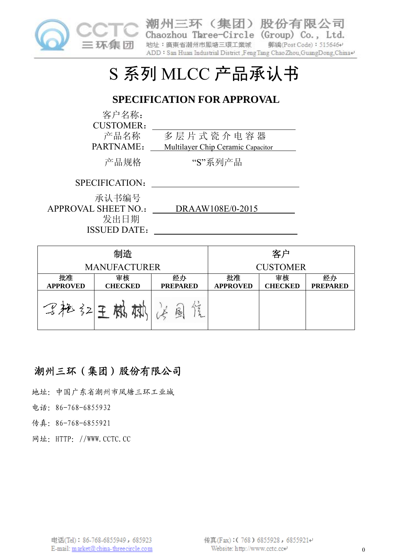

潮州三环(集团)股份有限公司 Chaozhou Three-Circle (Group) Co., Ltd. 地址: 廣東省潮州市鳳塘三環工業城 郵編(Post Code): 515646₽ ADD: San Huan Industrial District ,FengTang Chao Zhou,GuangDong,China+

# S 系列 MLCC 产品承认书

# **SPECIFICATION FOR APPROVAL**

客户名称: CUSTOMER: 产品名称 多层片式瓷介电容器 PARTNAME: Multilayer Chip Ceramic Capacitor 产品规格 "S"系列产品 SPECIFICATION: 承认书编号 APPROVAL SHEET NO.: DRAAW108E/0-2015

制造 客户 MANUFACTURER **CUSTOMER** 批准 审核 经办 批准 审核 经办 **APPROVED CHECKED PREPARED APPROVED CHECKED PREPARED** 了枪 红王 林 献 法国

# 潮州三环(集团)股份有限公司

发出日期 ISSUED DATE:

地址:中国广东省潮州市凤塘三环工业城

电话:86-768-6855932

传真:86-768-6855921

网址:HTTP://WWW.CCTC.CC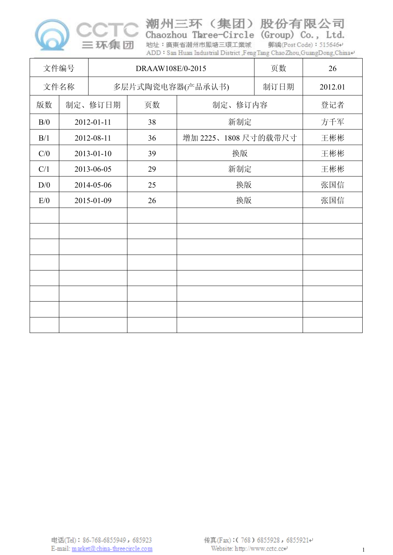

Chaozhou Three-Circle (Group) Co., Ltd. 地址:廣東省潮州市鳳塘三環工業城

郵編(Post Code): 515646€ ADD: San Huan Industrial District ,FengTang ChaoZhou,GuangDong,China+

|      | 文件编号       |            | DRAAW108E/0-2015 | 页数                   | 26      |     |
|------|------------|------------|------------------|----------------------|---------|-----|
| 文件名称 |            |            | 多层片式陶瓷电容器(产品承认书) | 制订日期                 | 2012.01 |     |
| 版数   |            | 制定、修订日期    | 页数               | 制定、修订内容              |         | 登记者 |
| B/0  |            | 2012-01-11 | 38               | 新制定                  |         | 方千军 |
| B/1  |            | 2012-08-11 | 36               | 增加 2225、1808 尺寸的载带尺寸 |         | 王彬彬 |
| C/0  |            | 2013-01-10 | 39               | 换版                   |         | 王彬彬 |
| C/1  |            | 2013-06-05 | 29               | 新制定                  |         | 王彬彬 |
| D/0  | 2014-05-06 |            | 25               | 换版                   | 张国信     |     |
| E/0  | 2015-01-09 |            | 26               | 换版                   | 张国信     |     |
|      |            |            |                  |                      |         |     |
|      |            |            |                  |                      |         |     |
|      |            |            |                  |                      |         |     |
|      |            |            |                  |                      |         |     |
|      |            |            |                  |                      |         |     |
|      |            |            |                  |                      |         |     |
|      |            |            |                  |                      |         |     |
|      |            |            |                  |                      |         |     |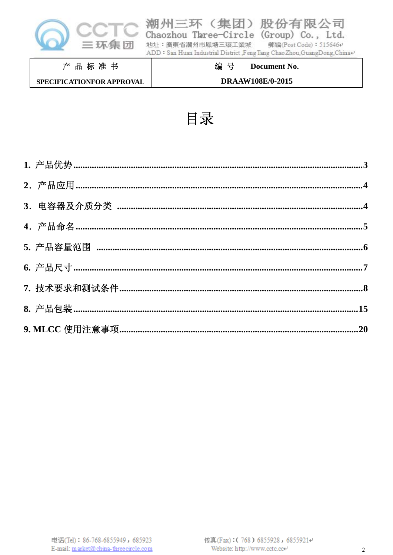

|                           | ADD: San Huan Industrial District Feng Tang Chao Zhou GuangDong China+ |
|---------------------------|------------------------------------------------------------------------|
| 产品标准书                     | 编 号<br>Document No.                                                    |
| SPECIFICATIONFOR APPROVAL | <b>DRAAW108E/0-2015</b>                                                |

郵編(Post Code): 515646+

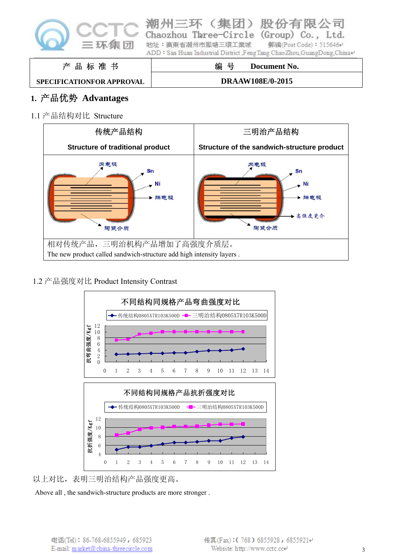

|  |                                                                                            | 编 号 | Document No. |                        |  |
|--|--------------------------------------------------------------------------------------------|-----|--------------|------------------------|--|
|  | 地址:廣東省潮州市鳳塘三環工業城<br>ADD: San Huan Industrial District Feng Tang Chao Zhou GuangDong China+ |     |              | 郵編(Post Code): 5156464 |  |
|  | Chaozhou Three-Circle (Group) Co., Ltd.                                                    |     |              |                        |  |

**SPECIFICATIONFOR APPROVAL**

产 品 标 准 书

**DRAAW108E/0-2015**

# **1.** 产品优势 **Advantages**

1.1 产品结构对比 Structure



1.2 产品强度对比 Product Intensity Contrast



以上对比,表明三明治结构产品强度更高。

Above all , the sandwich-structure products are more stronger .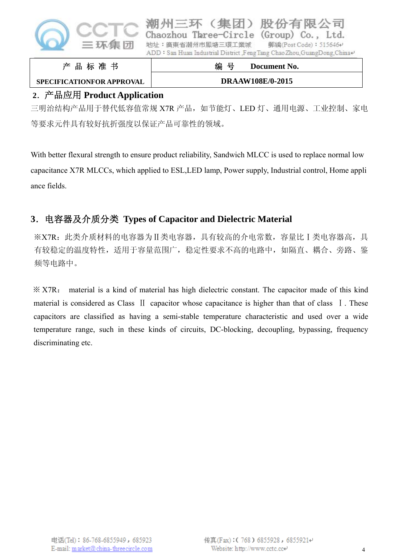

| 编 号                                                                                           | Document No.           |  |
|-----------------------------------------------------------------------------------------------|------------------------|--|
| 地址:廣東省潮州市鳳塘三環工業城<br>ADD: San Huan Industrial District ,Feng Tang Chao Zhou, GuangDong, China+ | 郵編(Post Code): 515646₽ |  |
| Chaozhou Three-Circle (Group) Co., Ltd.                                                       |                        |  |

# 产 品 标 准 书 **SPECIFICATIONFOR APPROVAL**

**DRAAW108E/0-2015**

# **2**.产品应用 **Product Application**

三明治结构产品用于替代低容值常规 X7R 产品, 如节能灯、LED 灯、通用电源、工业控制、家电 等要求元件具有较好抗折强度以保证产品可靠性的领域。

With better flexural strength to ensure product reliability, Sandwich MLCC is used to replace normal low capacitance X7R MLCCs, which applied to ESL,LED lamp, Power supply, Industrial control, Home appli ance fields.

# **3**.电容器及介质分类 **Types of Capacitor and Dielectric Material**

※X7R:此类介质材料的电容器为Ⅱ类电容器,具有较高的介电常数,容量比Ⅰ类电容器高,具 有较稳定的温度特性,适用于容量范围广,稳定性要求不高的电路中,如隔直、耦合、旁路、鉴 频等电路中。

※ X7R: material is a kind of material has high dielectric constant. The capacitor made of this kind material is considered as Class II capacitor whose capacitance is higher than that of class I. These capacitors are classified as having a semi-stable temperature characteristic and used over a wide temperature range, such in these kinds of circuits, DC-blocking, decoupling, bypassing, frequency discriminating etc.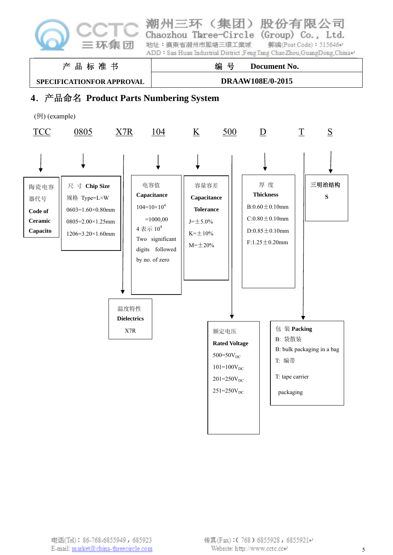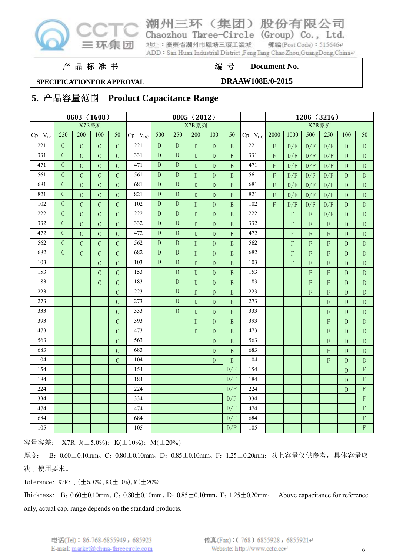

#### 股份有 州三环(集团)

Chaozhou Three-Circle (Group) Co., Ltd. 地址: 廣東省潮州市鳳塘三環工業城 郵編(Post Code): 515646₽

限公司

ADD: San Huan Industrial District ,FengTang Chao Zhou,GuangDong,China+

产 品 标 准 书

#### **SPECIFICATIONFOR APPROVAL**

#### **DRAAW108E/0-2015**

编 号 **Document No.** 

# **5.** 产品容量范围 **Product Capacitance Range**

|             | 0603 (1608)   |               |                |                |               |             |             | 0805 (2012)  |              |                 |             |                         |             |             | 1206 (3216)               |                |                           |
|-------------|---------------|---------------|----------------|----------------|---------------|-------------|-------------|--------------|--------------|-----------------|-------------|-------------------------|-------------|-------------|---------------------------|----------------|---------------------------|
|             |               | X7R系列         |                |                |               | X7R系列       |             |              |              |                 | X7R系列       |                         |             |             |                           |                |                           |
| $Cp V_{DC}$ | 250           | 200           | 100            | 50             | $Cp$ $V_{DC}$ | 500         | 250         | 200          | 100          | $\overline{50}$ | $Cp V_{DC}$ | 2000                    | 1000        | 500         | 250                       | 100            | $\overline{50}$           |
| 221         | $\mathcal{C}$ | $\mathcal{C}$ | $\mathcal{C}$  | $\mathcal{C}$  | 221           | ${\bf D}$   | ${\bf D}$   | $\mathbf{D}$ | D            | $\mathbf{B}$    | 221         | $\overline{F}$          | D/F         | D/F         | D/F                       | $\mathbf{D}$   | $\mathbf{D}$              |
| 331         | $\mathcal{C}$ | $\mathcal{C}$ | $\mathcal{C}$  | $\mathcal{C}$  | 331           | ${\rm D}$   | $\mathbf D$ | ${\rm D}$    | $\mathbf D$  | $\, {\bf B}$    | 331         | $\mathbf F$             | D/F         | D/F         | D/F                       | D              | ${\rm D}$                 |
| 471         | $\mathcal{C}$ | $\mathcal{C}$ | $\mathcal{C}$  | $\mathcal{C}$  | 471           | ${\rm D}$   | ${\rm D}$   | ${\bf D}$    | ${\rm D}$    | $\, {\bf B}$    | 471         | $\mathbf F$             | D/F         | D/F         | D/F                       | $\mathbf{D}$   | ${\rm D}$                 |
| 561         | $\mathcal{C}$ | $\mathcal{C}$ | $\mathcal{C}$  | $\overline{C}$ | 561           | ${\rm D}$   | ${\rm D}$   | ${\bf D}$    | ${\bf D}$    | $\overline{B}$  | 561         | $\overline{\mathrm{F}}$ | D/F         | D/F         | D/F                       | $\mathbf{D}$   | $\mathbf{D}$              |
| 681         | $\mathcal{C}$ | $\mathcal{C}$ | $\mathcal{C}$  | $\overline{C}$ | 681           | $\mathbf D$ | $\mathbf D$ | $\mathbf D$  | $\mathbf D$  | $\overline{B}$  | 681         | $\overline{F}$          | D/F         | D/F         | D/F                       | $\overline{D}$ | ${\bf D}$                 |
| 821         | $\mathcal{C}$ | $\mathcal{C}$ | $\mathcal{C}$  | $\overline{C}$ | 821           | ${\bf D}$   | ${\bf D}$   | ${\bf D}$    | ${\rm D}$    | $\, {\bf B}$    | 821         | $\overline{\mathrm{F}}$ | D/F         | D/F         | D/F                       | $\mathbf{D}$   | ${\rm D}$                 |
| 102         | $\mathcal{C}$ | $\mathcal{C}$ | $\mathbf C$    | $\mathcal{C}$  | 102           | ${\bf D}$   | ${\rm D}$   | ${\rm D}$    | ${\bf D}$    | $\, {\bf B}$    | 102         | F                       | D/F         | D/F         | D/F                       | ${\bf D}$      | ${\rm D}$                 |
| 222         | $\mathcal{C}$ | $\mathcal{C}$ | $\mathcal{C}$  | $\overline{C}$ | 222           | ${\bf D}$   | ${\rm D}$   | ${\bf D}$    | ${\bf D}$    | $\, {\bf B}$    | 222         |                         | $\mathbf F$ | $\mathbf F$ | D/F                       | $\mathbf{D}$   | ${\bf D}$                 |
| 332         | $\mathcal{C}$ | $\mathcal{C}$ | $\mathcal{C}$  | $\overline{C}$ | 332           | ${\rm D}$   | ${\rm D}$   | ${\bf D}$    | ${\bf D}$    | $\, {\bf B}$    | 332         |                         | F           | F           | $\mathbf F$               | $\mathbf{D}$   | ${\bf D}$                 |
| 472         | $\mathcal{C}$ | $\mathcal{C}$ | $\mathcal{C}$  | $\overline{C}$ | 472           | ${\rm D}$   | ${\rm D}$   | ${\rm D}$    | ${\bf D}$    | $\, {\bf B}$    | 472         |                         | $\mathbf F$ | F           | F                         | $\mathbf{D}$   | ${\rm D}$                 |
| 562         | $\mathcal{C}$ | $\mathcal{C}$ | $\mathcal{C}$  | $\overline{C}$ | 562           | ${\rm D}$   | ${\rm D}$   | ${\rm D}$    | ${\bf D}$    | $\, {\bf B}$    | 562         |                         | $\mathbf F$ | $\mathbf F$ | $\boldsymbol{\mathrm{F}}$ | $\mathbf{D}$   | ${\bf D}$                 |
| 682         | $\mathcal{C}$ | $\mathcal{C}$ | $\mathcal{C}$  | $\overline{C}$ | 682           | ${\bf D}$   | ${\bf D}$   | ${\bf D}$    | ${\bf D}$    | $\, {\bf B}$    | 682         |                         | F           | F           | F                         | $\mathbf{D}$   | $\mathbf{D}$              |
| 103         |               |               | $\overline{C}$ | $\overline{C}$ | 103           | $\mathbf D$ | ${\bf D}$   | ${\bf D}$    | ${\bf D}$    | $\, {\bf B}$    | 103         |                         | F           | F           | F                         | $\overline{D}$ | ${\bf D}$                 |
| 153         |               |               | $\mathbf C$    | $\mathcal{C}$  | 153           |             | ${\rm D}$   | ${\rm D}$    | ${\rm D}$    | $\, {\bf B}$    | 153         |                         |             | $\mathbf F$ | $\mathbf F$               | $\mathbf{D}$   | ${\bf D}$                 |
| 183         |               |               | $\mathcal{C}$  | $\overline{C}$ | 183           |             | ${\rm D}$   | ${\bf D}$    | ${\bf D}$    | $\, {\bf B}$    | 183         |                         |             | $\mathbf F$ | $\mathbf F$               | $\mathbf{D}$   | ${\rm D}$                 |
| 223         |               |               |                | $\overline{C}$ | 223           |             | ${\bf D}$   | ${\bf D}$    | $\mathbf{D}$ | B               | 223         |                         |             | F           | $\mathbf F$               | $\mathbf{D}$   | ${\bf D}$                 |
| 273         |               |               |                | $\mathcal{C}$  | 273           |             | ${\rm D}$   | $\mathbf{D}$ | $\mathbf{D}$ | B               | 273         |                         |             |             | F                         | D              | ${\rm D}$                 |
| 333         |               |               |                | $\mathcal{C}$  | 333           |             | ${\bf D}$   | ${\rm D}$    | $\mathbf{D}$ | $\, {\bf B}$    | 333         |                         |             |             | F                         | $\mathbf{D}$   | ${\rm D}$                 |
| 393         |               |               |                | $\mathcal{C}$  | 393           |             |             | ${\rm D}$    | ${\rm D}$    | $\, {\bf B}$    | 393         |                         |             |             | $\mathbf F$               | $\mathbf{D}$   | ${\rm D}$                 |
| 473         |               |               |                | $\overline{C}$ | 473           |             |             | ${\bf D}$    | ${\bf D}$    | $\, {\bf B}$    | 473         |                         |             |             | $\mathbf F$               | ${\rm D}$      | ${\bf D}$                 |
| 563         |               |               |                | $\mathcal{C}$  | 563           |             |             |              | ${\rm D}$    | $\, {\bf B}$    | 563         |                         |             |             | $\mathbf F$               | $\mathbf{D}$   | ${\rm D}$                 |
| 683         |               |               |                | $\mathcal{C}$  | 683           |             |             |              | ${\bf D}$    | $\, {\bf B}$    | 683         |                         |             |             | $\mathbf F$               | $\mathbf{D}$   | ${\bf D}$                 |
| 104         |               |               |                | $\overline{C}$ | 104           |             |             |              | $\mathbf D$  | $\mathbf{B}$    | 104         |                         |             |             | $\mathbf F$               | $\overline{D}$ | $\mathbf{D}$              |
| 154         |               |               |                |                | 154           |             |             |              |              | D/F             | 154         |                         |             |             |                           | $\mathbf{D}$   | F                         |
| 184         |               |               |                |                | 184           |             |             |              |              | D/F             | 184         |                         |             |             |                           | $\mathbf{D}$   | $\overline{F}$            |
| 224         |               |               |                |                | 224           |             |             |              |              | D/F             | 224         |                         |             |             |                           | ${\bf D}$      | $\boldsymbol{\mathsf{F}}$ |
| 334         |               |               |                |                | 334           |             |             |              |              | D/F             | 334         |                         |             |             |                           |                | $\overline{F}$            |
| 474         |               |               |                |                | 474           |             |             |              |              | D/F             | 474         |                         |             |             |                           |                | F                         |
| 684         |               |               |                |                | 684           |             |             |              |              | D/F             | 684         |                         |             |             |                           |                | $\overline{F}$            |
| 105         |               |               |                |                | 105           |             |             |              |              | D/F             | 105         |                         |             |             |                           |                | $\overline{F}$            |

容量容差: X7R: J(±5.0%); K(±10%); M(±20%)

厚度: B: 0.60±0.10mm、C: 0.80±0.10mm、D: 0.85±0.10mm、F: 1.25±0.20mm; 以上容量仅供参考, 具体容量取 决于使用要求。

Tolerance: X7R:  $J(\pm 5.0\%)$ , K $(\pm 10\%)$ , M $(\pm 20\%)$ 

Thickness: B:  $0.60 \pm 0.10$ mm, C:  $0.80 \pm 0.10$ mm, D:  $0.85 \pm 0.10$ mm, F:  $1.25 \pm 0.20$ mm; Above capacitance for reference only, actual cap. range depends on the standard products.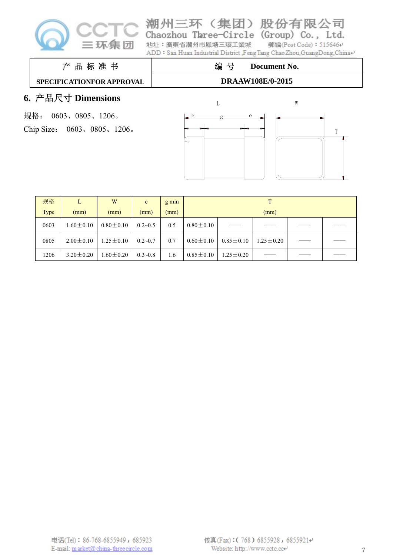

| 潮州三环(集团)股份有限公司<br>Chaozhou Three-Circle (Group) Co., Ltd.              |              |
|------------------------------------------------------------------------|--------------|
| 地址: 廣東省潮州市鳳塘三環工業城 郵編(Post Code): 5156464                               |              |
| ADD: San Huan Industrial District ,FengTang Chao Zhou,GuangDong,China+ |              |
| 编 号                                                                    | Document No. |

# 产 品 标 准 书

#### **SPECIFICATIONFOR APPROVAL**

### **DRAAW108E/0-2015**

# **6.** 产品尺寸 **Dimensions**

规格: 0603、0805、1206。 Chip Size: 0603、0805、1206。





| 规格          | L               | W               | e           | $g \min$ |                 |                 |                 |  |  |
|-------------|-----------------|-----------------|-------------|----------|-----------------|-----------------|-----------------|--|--|
| <b>Type</b> | (mm)            | (mm)            | (mm)        | (mm)     | (mm)            |                 |                 |  |  |
| 0603        | $1.60 \pm 0.10$ | $0.80 \pm 0.10$ | $0.2 - 0.5$ | 0.5      | $0.80 \pm 0.10$ |                 |                 |  |  |
| 0805        | $2.00 \pm 0.10$ | $1.25 \pm 0.10$ | $0.2 - 0.7$ | 0.7      | $0.60 \pm 0.10$ | $0.85 \pm 0.10$ | $1.25 \pm 0.20$ |  |  |
| 1206        | $3.20 \pm 0.20$ | $1.60 \pm 0.20$ | $0.3 - 0.8$ | 1.6      | $0.85 \pm 0.10$ | $1.25 \pm 0.20$ |                 |  |  |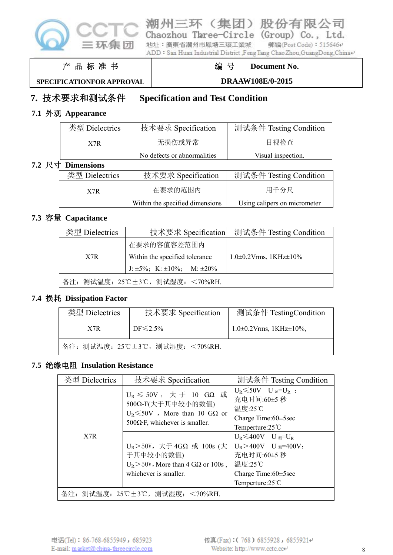

Chaozhou Three-Circle (Group) Co., Ltd. 地址: 廣東省潮州市鳳塘三環工業城 郵編(Post Code): 515646+ ADD: San Huan Industrial District ,FengTang ChaoZhou,GuangDong,China+

州三环 (集团) 股份有限公司

产 品 标 准 书

# 编 号 **Document No.**

**SPECIFICATIONFOR APPROVAL**

**DRAAW108E/0-2015**

# **7.** 技术要求和测试条件 **Specification and Test Condition**

# **7.1** 外观 **Appearance**

| 类型 Dielectrics    | 技术要求 Specification              | 测试条件 Testing Condition       |  |  |
|-------------------|---------------------------------|------------------------------|--|--|
| X7R               | 无损伤或异常                          | 目视检查                         |  |  |
|                   | No defects or abnormalities     | Visual inspection.           |  |  |
| 7.2 尺寸 Dimensions |                                 |                              |  |  |
| 类型 Dielectrics    | 技术要求 Specification              | 测试条件 Testing Condition       |  |  |
| X7R               | 在要求的范围内                         | 用千分尺                         |  |  |
|                   | Within the specified dimensions | Using calipers on micrometer |  |  |

#### **7.3** 容量 **Capacitance**

| 类型 Dielectrics | 技术要求 Specification                           | 测试条件 Testing Condition              |
|----------------|----------------------------------------------|-------------------------------------|
|                | 在要求的容值容差范围内                                  |                                     |
| X7R            | Within the specified tolerance               | $1.0\pm0.2$ Vrms, $1$ KHz $\pm10\%$ |
|                | J: $\pm 5\%$ ; K: $\pm 10\%$ ; M: $\pm 20\%$ |                                     |
|                | 备注: 测试温度: 25℃±3℃, 测试湿度: <70%RH.              |                                     |

#### **7.4** 损耗 **Dissipation Factor**

| 类型 Dielectrics | 技术要求 Specification              | 测试条件 TestingCondition                 |
|----------------|---------------------------------|---------------------------------------|
| X7R            | $DF \le 2.5\%$                  | $1.0\pm0.2$ Vrms, $1$ KHz $\pm10\%$ , |
|                | 备注: 测试温度: 25℃±3℃, 测试湿度: <70%RH. |                                       |

# **7.5** 绝缘电阻 **Insulation Resistance**

| 类型 Dielectrics                  | 技术要求 Specification                                                                                                                | 测试条件 Testing Condition                                                                                                                                 |  |  |  |  |  |
|---------------------------------|-----------------------------------------------------------------------------------------------------------------------------------|--------------------------------------------------------------------------------------------------------------------------------------------------------|--|--|--|--|--|
|                                 | $U_R$ ≤ 50V, $⊼$ $\mp$ 10 GΩ 或<br>500Ω-F(大于其中较小的数值)<br>$U_R \le 50V$ , More than 10 GQ or<br>$500\Omega$ F, whichever is smaller. | $U_R \leq 50V$ $U_{\mathbb{H}}=U_R$ ;<br>充电时间:60±5秒<br>温度:25℃<br>Charge Time: $60\pm 5$ sec<br>Temperture: $25^{\circ}$ C                              |  |  |  |  |  |
| X7R                             | $U_R$ >50V, 大于 4GΩ 或 100s (大<br>于其中较小的数值)<br>$U_R$ > 50V, More than 4 G $\Omega$ or 100s,<br>whichever is smaller.                | $U_R \leq 400V$ U $_{\mathbb{W}}=U_R$<br>$U_R > 400V$ U $_{\text{N}} = 400V$ ;<br>充电时间:60±5秒<br>温度:25℃<br>Charge Time: $60\pm 5$ sec<br>Temperture:25℃ |  |  |  |  |  |
| 备注: 测试温度: 25℃±3℃, 测试湿度: <70%RH. |                                                                                                                                   |                                                                                                                                                        |  |  |  |  |  |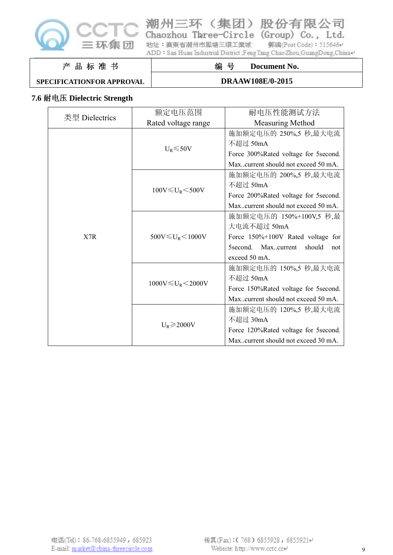

潮州三环(集团)股份有限公司

Chaozhou Three-Circle (Group) Co., Ltd. 郵編(Post Code): 515646+ 地址: 廣東省潮州市鳳塘三環工業城

ADD: San Huan Industrial District ,FengTang ChaoZhou,GuangDong,China+

#### 产 品 标 准 书

#### **SPECIFICATIONFOR APPROVAL**

#### **DRAAW108E/0-2015**

编 号 **Document No.** 

#### **7.6** 耐电压 **Dielectric Strength**

| 类型 Dielectrics | 额定电压范围                      | 耐电压性能测试方法                            |
|----------------|-----------------------------|--------------------------------------|
|                | Rated voltage range         | <b>Measuring Method</b>              |
|                |                             | 施加额定电压的 250%,5 秒,最大电流                |
|                |                             | 不超过 50mA                             |
|                | $U_R \le 50V$               | Force 300%Rated voltage for 5second. |
|                |                             | Maxcurrent should not exceed 50 mA.  |
|                |                             | 施加额定电压的 200%,5 秒,最大电流                |
|                |                             | 不超过 50mA                             |
|                | $100V \leq U_R \leq 500V$   | Force 200%Rated voltage for 5second. |
|                |                             | Maxcurrent should not exceed 50 mA.  |
|                | 500V $\leq U_R$ $<$ 1000V   | 施加额定电压的 150%+100V,5 秒,最              |
|                |                             | 大电流不超过 50mA                          |
| X7R            |                             | Force 150%+100V Rated voltage for    |
|                |                             | 5second. Maxcurrent<br>should<br>not |
|                |                             | exceed 50 mA.                        |
|                |                             | 施加额定电压的 150%,5 秒,最大电流                |
|                |                             | 不超过 50mA                             |
|                | $1000V \leq U_R \leq 2000V$ | Force 150%Rated voltage for 5second. |
|                |                             | Maxcurrent should not exceed 50 mA.  |
|                | $U_R \geq 2000V$            | 施加额定电压的 120%,5 秒,最大电流                |
|                |                             | 不超过 30mA                             |
|                |                             | Force 120%Rated voltage for 5second. |
|                |                             | Maxcurrent should not exceed 30 mA.  |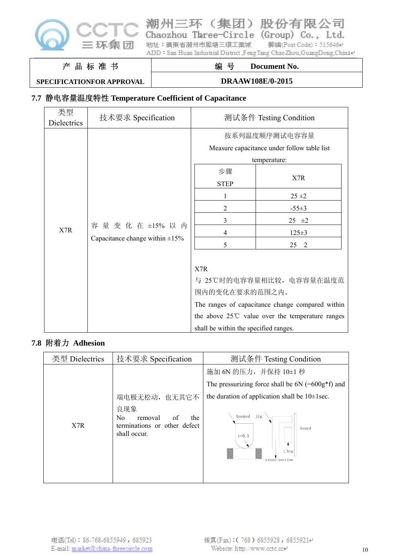

# 潮州三环(集团)股份有限公司 Chaozhou Taree-Circle (Group) Co., Ltd.

地址: 廣東省潮州市鳳塘三環工業城 郵編(Post Code): 515646+ ADD: San Huan Industrial District ,FengTang ChaoZhou,GuangDong,China+

#### 产 品 标 准 书

#### **SPECIFICATIONFOR APPROVAL**

# 编 号 **Document No. DRAAW108E/0-2015**

# **7.7** 静电容量温度特性 **Temperature Coefficient of Capacitance**

| 类型<br>Dielectrics | 技术要求 Specification                                                                                  | 测试条件 Testing Condition                                                                                                                                                                                                         |                                                                                 |
|-------------------|-----------------------------------------------------------------------------------------------------|--------------------------------------------------------------------------------------------------------------------------------------------------------------------------------------------------------------------------------|---------------------------------------------------------------------------------|
| X7R               | 容量变化在 ±15% 以内<br>Capacitance change within $\pm 15\%$                                               | 按系列温度顺序测试电容容量<br>Measure capacitance under follow table list<br>temperature:<br>步骤<br><b>STEP</b><br>2<br>3<br>4<br>5<br>X7R<br>与 25℃时的电容容量相比较, 电容容量在温度范<br>围内的变化在要求的范围之内。<br>The ranges of capacitance change compared within | X7R<br>25 ± 2<br>$-55\pm3$<br>$25 \pm 2$<br>$125 \pm 3$<br>$\overline{2}$<br>25 |
|                   | the above $25^{\circ}$ C value over the temperature ranges<br>shall be within the specified ranges. |                                                                                                                                                                                                                                |                                                                                 |

#### **7.8** 附着力 **Adhesion**

| 类型 Dielectrics | 技术要求 Specification                                                                            | 测试条件 Testing Condition                                       |
|----------------|-----------------------------------------------------------------------------------------------|--------------------------------------------------------------|
|                |                                                                                               | 施加 6N 的压力, 并保持 10±1 秒                                        |
|                |                                                                                               | The pressurizing force shall be $6N$ (= $600g*f$ ) and       |
|                | 端电极无松动,<br>也无其它不                                                                              | the duration of application shall be $10 \pm 1$ sec.         |
| X7R            | 良现象<br>N <sub>0</sub><br>of<br>the<br>removal<br>terminations or other defect<br>shall occur. | jig<br>hooked<br>board<br>$r = 0.5$<br>Chip<br>cross-section |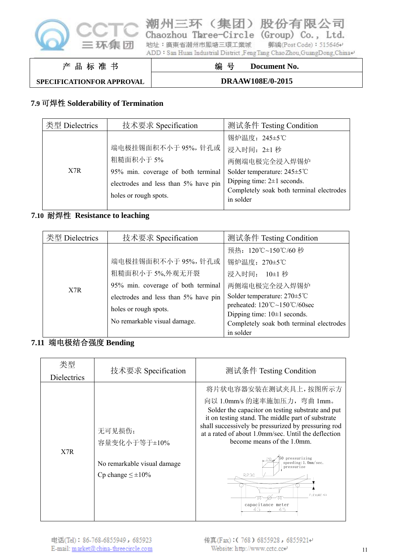

Chaozhou Three-Circle (Group) Co., Ltd. 地址: 廣東省潮州市鳳塘三環工業城 郵編(Post Code): 515646+ ADD: San Huan Industrial District ,FengTang Chao Zhou,GuangDong,China+

潮州三环(集团)股份有限公司

产 品 标 准 书

# 编 号 **Document No.**

**SPECIFICATIONFOR APPROVAL**

**DRAAW108E/0-2015**

# **7.9** 可焊性 **Solderability of Termination**

| 类型 Dielectrics | 技术要求 Specification                   | 测试条件 Testing Condition                    |
|----------------|--------------------------------------|-------------------------------------------|
|                |                                      | 锡炉温度: 245±5℃                              |
|                | 端电极挂锡面积不小于95%,针孔或                    | 浸入时间: 2±1 秒                               |
|                | 粗糙面积小于5%                             | 两侧端电极完全浸入焊锡炉                              |
| X7R            | 95% min. coverage of both terminal   | Solder temperature: $245 \pm 5^{\circ}$ C |
|                | electrodes and less than 5% have pin | Dipping time: $2\pm 1$ seconds.           |
|                |                                      | Completely soak both terminal electrodes  |
|                | holes or rough spots.                | in solder                                 |
|                |                                      |                                           |

## **7.10** 耐焊性 **Resistance to leaching**

| 类型 Dielectrics | 技术要求 Specification                   | 测试条件 Testing Condition                                                 |
|----------------|--------------------------------------|------------------------------------------------------------------------|
|                |                                      | 预热: 120℃~150℃/60秒                                                      |
|                | 端电极挂锡面积不小于 95%, 针孔或                  | 锡炉温度: 270±5℃                                                           |
|                | 粗糙面积小于5%,外观无开裂                       | 浸入时间:<br>$10\pm1$ 秒                                                    |
| X7R            | 95% min. coverage of both terminal   | 两侧端电极完全浸入焊锡炉                                                           |
|                | electrodes and less than 5% have pin | Solder temperature: $270 \pm 5^{\circ}$ C                              |
|                | holes or rough spots.                | preheated: $120^{\circ}\text{C} \sim 150^{\circ}\text{C}/60\text{sec}$ |
|                |                                      | Dipping time: $10 \pm 1$ seconds.                                      |
|                | No remarkable visual damage.         | Completely soak both terminal electrodes                               |
|                |                                      | in solder                                                              |

## **7.11** 端电极结合强度 **Bending**

| 类型<br><b>Dielectrics</b> | 技术要求 Specification                                                                 | 测试条件 Testing Condition                                                                                                                                                                                                                                                                                                                                                                                                   |
|--------------------------|------------------------------------------------------------------------------------|--------------------------------------------------------------------------------------------------------------------------------------------------------------------------------------------------------------------------------------------------------------------------------------------------------------------------------------------------------------------------------------------------------------------------|
| X7R                      | 无可见损伤;<br>容量变化小于等于±10%<br>No remarkable visual damage<br>Cp change $\leq \pm 10\%$ | 将片状电容器安装在测试夹具上,按图所示方<br>向以 1.0mm/s 的速率施加压力, 弯曲 1mm。<br>Solder the capacitor on testing substrate and put<br>it on testing stand. The middle part of substrate<br>shall successively be pressurized by pressuring rod<br>at a rated of about 1.0mm/sec. Until the deflection<br>become means of the 1.0mm.<br>pressurizing<br>speeding: 1. 0mm/sec.<br>pressurize<br>R230<br>$FLEXURE: \leq 1$<br>capacitance meter<br>45 |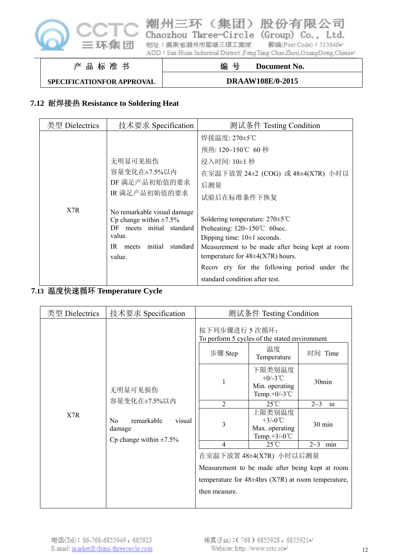

Chaozhou Three-Circle (Group) Co., Ltd. 地址:廣東省潮州市鳳塘三環工業城 郵編(Post Code): 515646+ ADD: San Huan Industrial District ,FengTang ChaoZhou,GuangDong,China+

潮州三环(集团)股份有限公司

产 品 标 准 书 编 号 **Document No.** 

**SPECIFICATIONFOR APPROVAL**

**DRAAW108E/0-2015**

#### **7.12** 耐焊接热 **Resistance to Soldering Heat**

| 类型 Dielectrics | 技术要求 Specification                                                                                                                               | 测试条件 Testing Condition                                                                                                                                                                                                                                                                                 |
|----------------|--------------------------------------------------------------------------------------------------------------------------------------------------|--------------------------------------------------------------------------------------------------------------------------------------------------------------------------------------------------------------------------------------------------------------------------------------------------------|
|                |                                                                                                                                                  | 焊接温度: 270±5℃                                                                                                                                                                                                                                                                                           |
|                |                                                                                                                                                  | 预热: 120~150℃ 60秒                                                                                                                                                                                                                                                                                       |
|                | 无明显可见损伤                                                                                                                                          | 浸入时间: 10±1 秒                                                                                                                                                                                                                                                                                           |
|                | 容量变化在±7.5%以内                                                                                                                                     | 在室温下放置 24±2 (COG) 或 48±4(X7R) 小时以                                                                                                                                                                                                                                                                      |
|                | DF 满足产品初始值的要求                                                                                                                                    | 后测量                                                                                                                                                                                                                                                                                                    |
|                | IR 满足产品初始值的要求                                                                                                                                    | 试验后在标准条件下恢复                                                                                                                                                                                                                                                                                            |
| X7R            | No remarkable visual damage<br>Cp change within $\pm 7.5\%$<br>meets initial standard<br>DF.<br>value.<br>IR meets initial<br>standard<br>value. | Soldering temperature: $270 \pm 5^{\circ}$ C<br>Preheating: $120~150^{\circ}$ C 60sec.<br>Dipping time: $10\pm1$ seconds.<br>Measurement to be made after being kept at room<br>temperature for $48\pm4(X7R)$ hours.<br>Recov ery for the following period under the<br>standard condition after test. |

#### **7.13** 温度快速循环 **Temperature Cycle**

| 技术要求 Specification<br>测试条件 Testing Condition<br>类型 Dielectrics                                                                                                                                                                                                                                                                                                                                                                                                                                                                                                                                                                       |
|--------------------------------------------------------------------------------------------------------------------------------------------------------------------------------------------------------------------------------------------------------------------------------------------------------------------------------------------------------------------------------------------------------------------------------------------------------------------------------------------------------------------------------------------------------------------------------------------------------------------------------------|
| 按下列步骤进行 5 次循环:<br>To perform 5 cycles of the stated environment<br>温度<br>步骤 Step<br>时间 Time<br>Temperature<br>下限类别温度<br>+ $0/-3$ °C<br>30 <sub>min</sub><br>1<br>Min. operating<br>无明显可见损伤<br>Temp.+0/-3 $°C$<br>容量变化在±7.5%以内<br>$25^{\circ}$ C<br>2<br>$2 - 3$<br>in<br>上限类别温度<br>X7R<br>$+3/-0$ °C<br>remarkable<br>visual<br>No<br>3<br>30 min<br>Max. operating<br>damage<br>Temp. $+3/-0$ °C<br>Cp change within $\pm 7.5\%$<br>$25^{\circ}$ C<br>$2 - 3$<br>4<br>min<br>在室温下放置 48±4(X7R) 小时以后测量<br>Measurement to be made after being kept at room<br>temperature for $48\pm4$ hrs (X7R) at room temperature,<br>then measure. |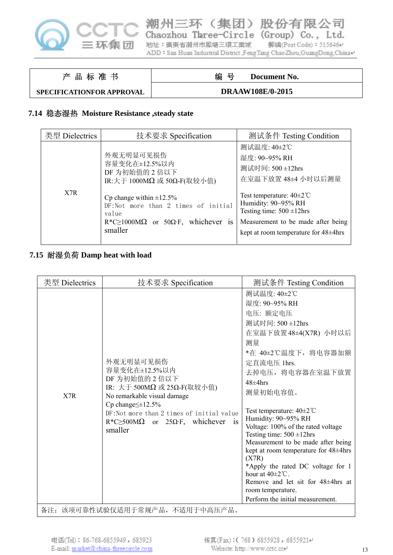

Chaozhou Three-Circle (Group) Co., Ltd. 地址:廣東省潮州市鳳塘三環工業城 郵編(Post Code): 515646+ ADD: San Huan Industrial District ,FengTang Chao Zhou,GuangDong,China+

潮州三环(集团)股份有限公司

#### 产 品 标 准 书

# 编 号 **Document No.**

#### **SPECIFICATIONFOR APPROVAL**

#### **DRAAW108E/0-2015**

#### **7.14** 稳态湿热 **Moisture Resistance ,steady state**

| 类型 Dielectrics | 技术要求 Specification                                                                                                                                           | 测试条件 Testing Condition                                                                                                                                                          |
|----------------|--------------------------------------------------------------------------------------------------------------------------------------------------------------|---------------------------------------------------------------------------------------------------------------------------------------------------------------------------------|
|                | 外观无明显可见损伤<br>容量变化在±12.5%以内<br>DF 为初始值的 2 倍以下<br>IR: 大于 1000MΩ 或 50Ω-F(取较小值)                                                                                  | 测试温度: 40±2℃<br>湿度: 90~95% RH<br>测试时间: 500 ±12hrs<br>在室温下放置 48±4 小时以后测量                                                                                                          |
| X7R            | Cp change within $\pm 12.5\%$<br>DF:Not more than 2 times of initial<br>value<br>$R^*C \ge 1000M\Omega$ or 50 $\Omega$ ·F, whichever<br><b>1S</b><br>smaller | Test temperature: $40\pm2\degree$ C<br>Humidity: 90~95% RH<br>Testing time: $500 \pm 12$ hrs<br>Measurement to be made after being<br>kept at room temperature for $48\pm4$ hrs |

#### **7.15** 耐湿负荷 **Damp heat with load**

| 类型 Dielectrics | 技术要求 Specification                                                                                                                                                                                                                                       | 测试条件 Testing Condition                                                                                                                                                                                                                                                                                                                                                                                                                                                                                                                                                           |
|----------------|----------------------------------------------------------------------------------------------------------------------------------------------------------------------------------------------------------------------------------------------------------|----------------------------------------------------------------------------------------------------------------------------------------------------------------------------------------------------------------------------------------------------------------------------------------------------------------------------------------------------------------------------------------------------------------------------------------------------------------------------------------------------------------------------------------------------------------------------------|
| X7R            | 外观无明显可见损伤<br>容量变化在±12.5%以内<br>DF 为初始值的 2 倍以下<br>IR: 大于 500MΩ 或 25Ω-F(取较小值)<br>No remarkable visual damage<br>Cp change $\leq$ ±12.5%<br>DF: Not more than 2 times of initial value<br>$R^*C \geq 500 M\Omega$ or 25 $\Omega$ ·F, whichever is<br>smaller | 测试温度: 40±2℃<br>湿度: 90~95% RH<br>电压: 额定电压<br>测试时间: 500 ±12hrs<br>在室温下放置48±4(X7R) 小时以后<br>测量<br>*在 40±2℃温度下, 将电容器加额<br>定直流电压 1hrs.<br>去掉电压, 将电容器在室温下放置<br>$48\pm4$ hrs<br>测量初始电容值。<br>Test temperature: $40\pm2^{\circ}$ C<br>Humidity: 90~95% RH<br>Voltage: 100% of the rated voltage<br>Testing time: $500 \pm 12$ hrs<br>Measurement to be made after being<br>kept at room temperature for 48±4hrs<br>(X7R)<br>*Apply the rated DC voltage for 1<br>hour at $40\pm2^{\circ}$ C.<br>Remove and let sit for 48±4hrs at<br>room temperature.<br>Perform the initial measurement. |
|                | 备注: 该项可靠性试验仅适用于常规产品, 不适用于中高压产品。                                                                                                                                                                                                                          |                                                                                                                                                                                                                                                                                                                                                                                                                                                                                                                                                                                  |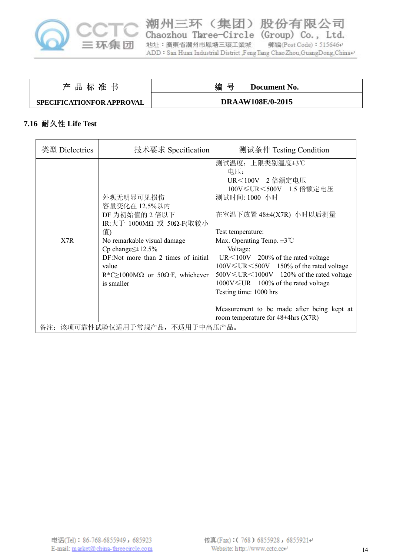

潮州三环(集团)股份有限公司 Chaozhou Taree-Circle (Group) Co., Ltd. 郵編(Post Code): 515646+ 地址:廣東省潮州市鳳塘三環工業城 ADD: San Huan Industrial District ,Feng Tang Chao Zhou,GuangDong,China+

| 产品标准书                     | 编 号<br>Document No.     |
|---------------------------|-------------------------|
| SPECIFICATIONFOR APPROVAL | <b>DRAAW108E/0-2015</b> |

## **7.16** 耐久性 **Life Test**

| 类型 Dielectrics                  | 技术要求 Specification                                                                                                                                                                                                                                                | 测试条件 Testing Condition                                                                                                                                                                                                                                                                                                                                                                                                                                                                                             |
|---------------------------------|-------------------------------------------------------------------------------------------------------------------------------------------------------------------------------------------------------------------------------------------------------------------|--------------------------------------------------------------------------------------------------------------------------------------------------------------------------------------------------------------------------------------------------------------------------------------------------------------------------------------------------------------------------------------------------------------------------------------------------------------------------------------------------------------------|
| X7R                             | 外观无明显可见损伤<br>容量变化在 12.5%以内<br>DF 为初始值的 2 倍以下<br>IR:大于 1000MΩ 或 50Ω-F(取较小<br>值)<br>No remarkable visual damage<br>Cp change $\leq \pm 12.5\%$<br>DF:Not more than 2 times of initial<br>value<br>$R^*C \ge 1000M\Omega$ or 50 $\Omega$ ·F, whichever<br>is smaller | 测试温度: 上限类别温度±3℃<br>电压:<br>UR<100V 2 倍额定电压<br>100V≤UR<500V 1.5 倍额定电压<br>测试时间: 1000 小时<br>在室温下放置 48±4(X7R) 小时以后测量<br>Test temperature:<br>Max. Operating Temp. $\pm 3^{\circ}$ C<br>Voltage:<br>$UR \le 100V$ 200% of the rated voltage<br>$100V \leq UR \leq 500V$ 150% of the rated voltage<br>$500V \leq UR \leq 1000V$ 120% of the rated voltage<br>$1000V \leq UR$ 100% of the rated voltage<br>Testing time: 1000 hrs<br>Measurement to be made after being kept at<br>room temperature for $48\pm4$ hrs (X7R) |
| 备注: 该项可靠性试验仅适用于常规产品, 不适用于中高压产品。 |                                                                                                                                                                                                                                                                   |                                                                                                                                                                                                                                                                                                                                                                                                                                                                                                                    |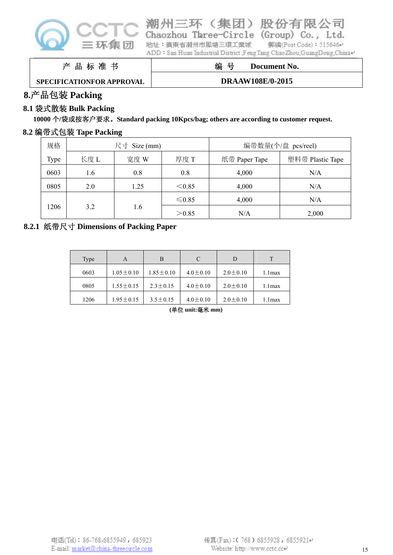

|  | iaoznou Imree-Circle (Group) Co., Ltd.                              |                        |  |
|--|---------------------------------------------------------------------|------------------------|--|
|  | 址:廣東省潮州市鳳塘三環工業城                                                     | 郵編(Post Code): 515646+ |  |
|  | )D∶San Huan Industrial District ,FengTang ChaoZhou,GuangDong,China≁ |                        |  |
|  |                                                                     |                        |  |

产 品 标 准 书

编 号 **Document No.** 

# **SPECIFICATIONFOR APPROVAL**

### **DRAAW108E/0-2015**

# **8.**产品包装 **Packing**

# **8.1** 袋式散装 **Bulk Packing**

**10000** 个**/**袋或按客户要求。**Standard packing 10Kpcs/bag; others are according to customer request.** 

地

AI

# **8.2** 编带式包装 **Tape Packing**

| 规格   | 尺寸 Size (mm) |      |         |               | 编带数量(个/盘 pcs/reel) |
|------|--------------|------|---------|---------------|--------------------|
| Type | 长度L          | 宽度 W | 厚度 T    | 纸带 Paper Tape | 塑料带 Plastic Tape   |
| 0603 | 1.6          | 0.8  | 0.8     | 4,000         | N/A                |
| 0805 | 2.0          | 1.25 | < 0.85  | 4,000         | N/A                |
|      |              |      | $≤0.85$ | 4,000         | N/A                |
| 1206 | 3.2          | 1.6  | > 0.85  | N/A           | 2,000              |

### **8.2.1** 纸带尺寸 **Dimensions of Packing Paper**

| Type | A               | B               | C              | D              | т         |
|------|-----------------|-----------------|----------------|----------------|-----------|
| 0603 | $1.05 \pm 0.10$ | $1.85 \pm 0.10$ | $4.0 \pm 0.10$ | $2.0 \pm 0.10$ | $1.1$ max |
| 0805 | $1.55 \pm 0.15$ | $2.3 \pm 0.15$  | $4.0 \pm 0.10$ | $2.0 \pm 0.10$ | $1.1$ max |
| 1206 | $1.95 \pm 0.15$ | $3.5 \pm 0.15$  | $4.0 \pm 0.10$ | $2.0 \pm 0.10$ | 1.1 max   |

**(**单位 **unit:**毫米 **mm)**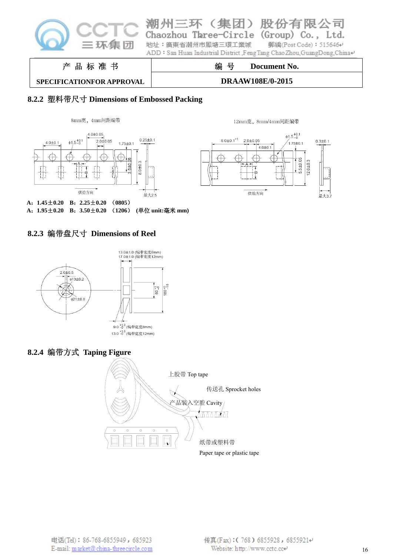

# **SPECIFICATIONFOR APPROVAL**

#### **DRAAW108E/0-2015**

#### **8.2.2** 塑料带尺寸 **Dimensions of Embossed Packing**





12mm宽, 8mm/4mm间距编带

**A**:**1.45**±**0.20 B**:**2.25**±**0.20** (**0805**) **A**:**1.95**±**0.20 B**:**3.50**±**0.20** (**1206**) **(**单位 **unit:**毫米 **mm)** 

#### **8.2.3** 编带盘尺寸 **Dimensions of Reel**



#### **8.2.4** 编带方式 **Taping Figure**

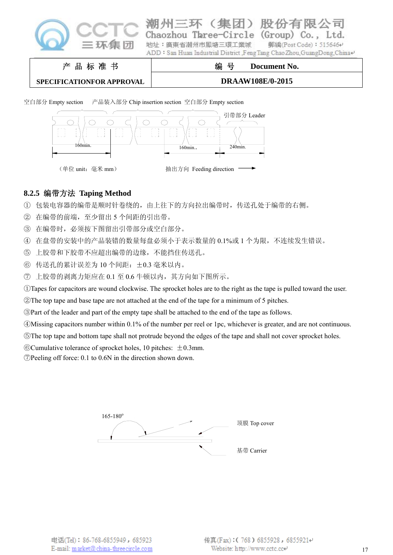

le Co. 地址:廣東省潮州市風塘三環工業城 郵編(Post Code): 515646₽ ADD: San Huan Industrial District ,FengTang Chao Zhou, GuangDong, China+

产 品 标 准 书

# 编 号 **Document No.**

**SPECIFICATIONFOR APPROVAL**

**DRAAW108E/0-2015**

空白部分 Empty section 产品装入部分 Chip insertion section 空白部分 Empty section



# **8.2.5** 编带方法 **Taping Method**

① 包装电容器的编带是顺时针卷绕的,由上往下的方向拉出编带时,传送孔处于编带的右侧。

- ② 在编带的前端,至少留出 5 个间距的引出带。
- ③ 在编带时,必须按下图留出引带部分或空白部分。
- ④ 在盘带的安装中的产品装错的数量每盘必须小于表示数量的 0.1%或 1 个为限,不连续发生错误。
- ⑤ 上胶带和下胶带不应超出编带的边缘,不能挡住传送孔。
- ⑥ 传送孔的累计误差为 10 个间距:±0.3 毫米以内。
- ⑦ 上胶带的剥离力矩应在 0.1 至 0.6 牛顿以内,其方向如下图所示。

①Tapes for capacitors are wound clockwise. The sprocket holes are to the right as the tape is pulled toward the user.

②The top tape and base tape are not attached at the end of the tape for a minimum of 5 pitches.

③Part of the leader and part of the empty tape shall be attached to the end of the tape as follows.

④Missing capacitors number within 0.1% of the number per reel or 1pc, whichever is greater, and are not continuous.

⑤The top tape and bottom tape shall not protrude beyond the edges of the tape and shall not cover sprocket holes.

 $\odot$ Cumulative tolerance of sprocket holes, 10 pitches:  $\pm$ 0.3mm.

⑦Peeling off force: 0.1 to 0.6N in the direction shown down.

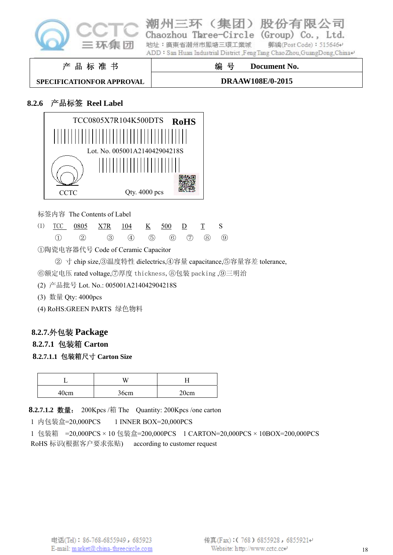

|                                  | ADD∶San Huan Industrial District .FengTang ChaoZhou.GuangDong.China⊌ |
|----------------------------------|----------------------------------------------------------------------|
| 产品标准书                            | 编 号<br>Document No.                                                  |
| <b>SPECIFICATIONFOR APPROVAL</b> | <b>DRAAW108E/0-2015</b>                                              |

地址: 廣東省潮州市風塘三環工業城

州三环(集团)股份有

Chaozhou Three-Circle (Group) Co., Ltd.

附

郵編(Post Code): 515646₽

公司

#### **8.2.6** 产品标签 **Reel Label**



标签内容 The Contents of Label

|  | (1) $TCC$ 0805 $X7R$ 104 $K$ 500 $D$ T S              |  |  |  |
|--|-------------------------------------------------------|--|--|--|
|  | $(1)$ $(2)$ $(3)$ $(4)$ $(5)$ $(6)$ $(7)$ $(8)$ $(9)$ |  |  |  |

①陶瓷电容器代号 Code of Ceramic Capacitor

② 寸 chip size,③温度特性 dielectrics,④容量 capacitance,⑤容量容差 tolerance,

⑥额定电压 rated voltage,⑦厚度 thickness,⑧包装 packing ,⑨三明治

#### (2) 产品批号 Lot. No.: 005001A214042904218S

- (3) 数量 Qty: 4000pcs
- (4) RoHS:GREEN PARTS 绿色物料

#### **8.2.7.**外包装 **Package**

#### **8.2.7.1** 包装箱 **Carton**

**8.2.7.1.1** 包装箱尺寸 **Carton Size** 

|      | ۱A   |      |
|------|------|------|
| 40cm | 36cm | 20cm |

**8.2.7.1.2** 数量: 200Kpcs /箱 The Quantity: 200Kpcs /one carton

1 内包装盒=20,000PCS 1 INNER BOX=20,000PCS

1 包装箱 =20,000PCS × 10 包装盒=200,000PCS 1 CARTON=20,000PCS × 10BOX=200,000PCS RoHS 标识(根据客户要求张贴) according to customer request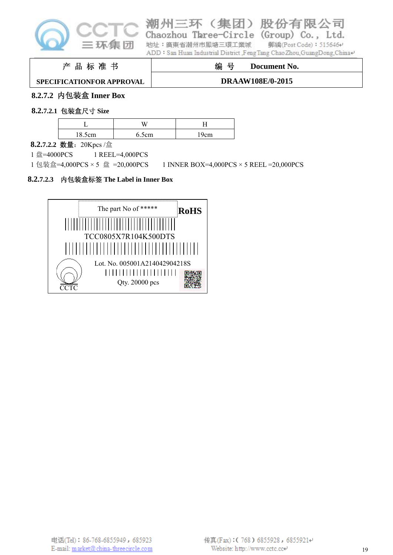

# |州三环(集团)股份有

Chaozhou Taree-Circle (Group) Co., Ltd.

限公司

地址:廣東省潮州市鳳塘三環工業城 郵編(Post Code): 515646+ ADD: San Huan Industrial District ,FengTang Chao Zhou,GuangDong,China+

#### 产 品 标 准 书

# 编 号 **Document No.**

#### **SPECIFICATIONFOR APPROVAL**

## **DRAAW108E/0-2015**

## **8.2.7.2** 内包装盒 **Inner Box**

#### **8.2.7.2.1** 包装盒尺寸 **Size**

| 18.5cm | 6.5cm | 19cm |
|--------|-------|------|

**8.2.7.2.2** 数量:20Kpcs /盒

1 盘=4000PCS 1 REEL=4,000PCS

1 包装盒=4,000PCS × 5 盘 =20,000PCS 1 INNER BOX=4,000PCS × 5 REEL =20,000PCS

#### **8.2.7.2.3** 内包装盒标签 **The Label in Inner Box**

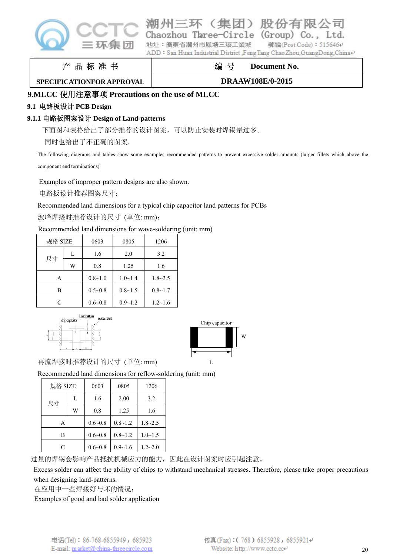

#### 股份有 三环 **EHD** ( ≄ Three-Circle

(Group)  $Co.$ . **郵編(Post Code): 515646₽** 

地址:廣東省潮州市風塘三環工業城 ADD: San Huan Industrial District Feng Tang Chao Zhou, GuangDong, China+

产 品 标 准 书

# 编 号 **Document No.**

#### **SPECIFICATIONFOR APPROVAL**

**DRAAW108E/0-2015**

### **9.MLCC** 使用注意事项 **Precautions on the use of MLCC**

### **9.1** 电路板设计 **PCB Design**

## **9.1.1** 电路板图案设计 **Design of Land-patterns**

下面图和表格给出了部分推荐的设计图案,可以防止安装时焊锡量过多。

同时也给出了不正确的图案。

The following diagrams and tables show some examples recommended patterns to prevent excessive solder amounts (larger fillets which above the

component end terminations)

Examples of improper pattern designs are also shown.

电路板设计推荐图案尺寸:

#### Recommended land dimensions for a typical chip capacitor land patterns for PCBs

波峰焊接时推荐设计的尺寸 (单位: mm):

#### Recommended land dimensions for wave-soldering (unit: mm)

| 规格 SIZE |   | 0603        | 0805           | 1206           |
|---------|---|-------------|----------------|----------------|
|         | L | 1.6         | 2.0            | 3.2            |
| 尺寸      | W | 0.8         | 1.25           | 1.6            |
| Α       |   | $0.8 - 1.0$ | $1.0 \sim 1.4$ | $1.8 - 2.5$    |
| В       |   | $0.5 - 0.8$ | $0.8 - 1.5$    | $0.8 - 1.7$    |
| C       |   | $0.6 - 0.8$ | $0.9 - 1.2$    | $1.2 \sim 1.6$ |





再流焊接时推荐设计的尺寸 (单位: mm)

Recommended land dimensions for reflow-soldering (unit: mm)

| 规格 SIZE |   | 0603        | 0805        | 1206           |
|---------|---|-------------|-------------|----------------|
|         | L | 1.6         | 2.00        | 3.2            |
| 尺寸      | W | 0.8         | 1.25        | 1.6            |
| A       |   | $0.6 - 0.8$ | $0.8 - 1.2$ | $1.8 - 2.5$    |
| в       |   | $0.6 - 0.8$ | $0.8 - 1.2$ | $1.0 \sim 1.5$ |
| C       |   | $0.6 - 0.8$ | $0.9 - 1.6$ | $1.2 - 2.0$    |

过量的焊锡会影响产品抵抗机械应力的能力,因此在设计图案时应引起注意。

Excess solder can affect the ability of chips to withstand mechanical stresses. Therefore, please take proper precautions when designing land-patterns.

在应用中一些焊接好与坏的情况:

Examples of good and bad solder application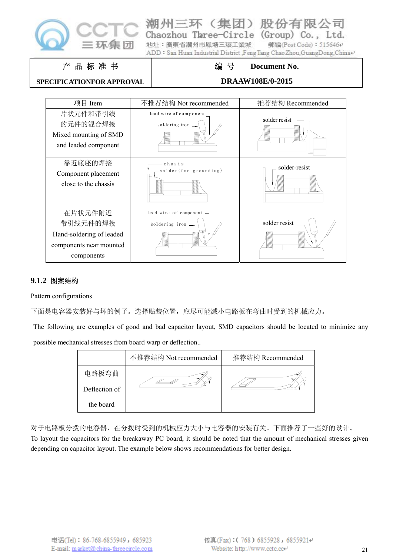

| 潮州三环                    | J<br>(集团) |
|-------------------------|-----------|
| Chaozhou Taree-Circle ( |           |

(Group) Co., Ltd. Three-Circle 地址: 廣東省潮州市鳳塘三環工業城 郵編(Post Code): 515646₽

有限公司

ADD: San Huan Industrial District ,FengTang Chao Zhou,GuangDong,China+

#### 产 品 标 准 书

#### **SPECIFICATIONFOR APPROVAL**

# 编 号 **Document No. DRAAW108E/0-2015**



#### **9.1.2** 图案结构

#### Pattern configurations

下面是电容器安装好与坏的例子。选择贴装位置,应尽可能减小电路板在弯曲时受到的机械应力。

The following are examples of good and bad capacitor layout, SMD capacitors should be located to minimize any possible mechanical stresses from board warp or deflection..

|               | 不推荐结构 Not recommended | 推荐结构 Recommended |
|---------------|-----------------------|------------------|
| 电路板弯曲         |                       |                  |
| Deflection of |                       |                  |
| the board     |                       |                  |

对于电路板分拨的电容器,在分拨时受到的机械应力大小与电容器的安装有关。下面推荐了一些好的设计。

To layout the capacitors for the breakaway PC board, it should be noted that the amount of mechanical stresses given depending on capacitor layout. The example below shows recommendations for better design.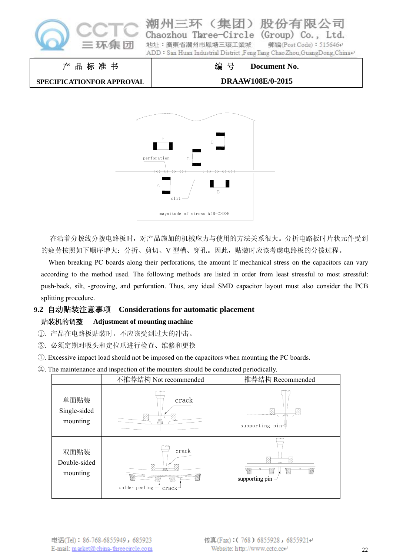

| Chaozhou Taree-Circle (Group) Co., Ltd.                                   |                        |
|---------------------------------------------------------------------------|------------------------|
| 地址:廣東省潮州市鳳塘三環工業城                                                          | 郵編(Post Code): 515646+ |
| ADD: San Huan Industrial District ,Feng Tang Chao Zhou, GuangDong, China+ |                        |
|                                                                           |                        |

#### 产 品 标 准 书 **SPECIFICATIONFOR APPROVAL** 编 号 **Document No. DRAAW108E/0-2015**



在沿着分拨线分拨电路板时,对产品施加的机械应力与使用的方法关系很大。分折电路板时片状元件受到 的疲劳按照如下顺序增大: 分折、剪切、V 型槽、穿孔。因此, 贴装时应该考虑电路板的分拨过程。

When breaking PC boards along their perforations, the amount lf mechanical stress on the capacitors can vary according to the method used. The following methods are listed in order from least stressful to most stressful: push-back, silt, -grooving, and perforation. Thus, any ideal SMD capacitor layout must also consider the PCB splitting procedure.

#### **9.2** 自动贴装注意事项 **Considerations for automatic placement**

#### 贴装机的调整 **Adjustment of mounting machine**

- ①. 产品在电路板贴装时,不应该受到过大的冲击。
- ②. 必须定期对吸头和定位爪进行检查、维修和更换
- ①. Excessive impact load should not be imposed on the capacitors when mounting the PC boards.
- ②. The maintenance and inspection of the mounters should be conducted periodically.

|                                  | 不推荐结构 Not recommended                 | 推荐结构 Recommended                          |  |  |
|----------------------------------|---------------------------------------|-------------------------------------------|--|--|
| 单面贴装<br>Single-sided<br>mounting | crack                                 | supporting pin4                           |  |  |
| 双面贴装<br>Double-sided<br>mounting | crack<br>solder peeling $-$ crack $-$ | .<br>Vili<br>supporting pin $\rightarrow$ |  |  |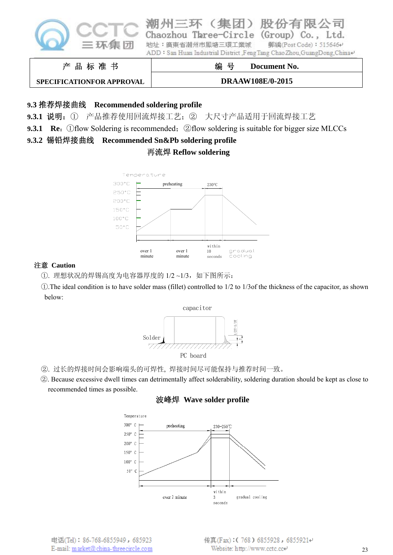

股份 三环 团) 公司 ( 1≣ Chaozhou Three-Circle (Group)  $Co.$ . Ltd. 地址: 廣東省潮州市風塘三環工業城 **郵編(Post Code): 515646₽** ADD: San Huan Industrial District Feng Tang Chao Zhou, GuangDong, China+

产 品 标 准 书

**SPECIFICATIONFOR APPROVAL**

**DRAAW108E/0-2015**

编 号 **Document No.** 

#### **9.3** 推荐焊接曲线 **Recommended soldering profile**

**9.3.1** 说明:① 产品推荐使用回流焊接工艺;② 大尺寸产品适用于回流焊接工艺

**9.3.1 Re:** ①flow Soldering is recommended; ②flow soldering is suitable for bigger size MLCCs

# **9.3.2** 锡铅焊接曲线 **Recommended Sn&Pb soldering profile**

#### 再流焊 **Reflow soldering**



#### 注意 **Caution**

①. 理想状况的焊锡高度为电容器厚度的 1/2 ~1/3,如下图所示:

①.The ideal condition is to have solder mass (fillet) controlled to 1/2 to 1/3of the thickness of the capacitor, as shown below:



②. 过长的焊接时间会影响端头的可焊性, 焊接时间尽可能保持与推荐时间一致。

②. Because excessive dwell times can detrimentally affect solderability, soldering duration should be kept as close to recommended times as possible.

#### 波峰焊 **Wave solder profile**

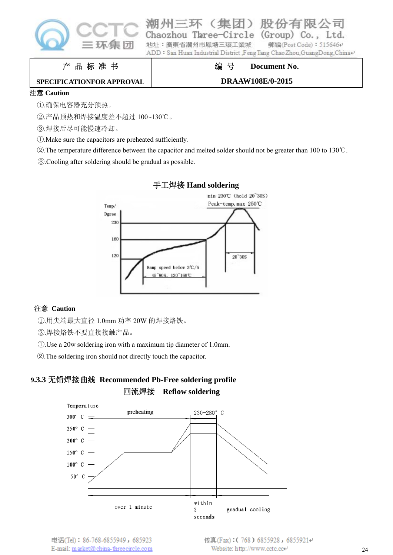

| Chaozhou Three-Circle (Group) Co., Ltd.                                |                        |
|------------------------------------------------------------------------|------------------------|
| 地址:廣東省潮州市鳳塘三環工業城                                                       | 郵編(Post Code): 515646e |
| ADD: San Huan Industrial District Feng Tang Chao Zhou GuangDong China+ |                        |

#### 产 品 标 准 书

编 号 **Document No.** 

#### **SPECIFICATIONFOR APPROVAL**

#### **DRAAW108E/0-2015**

#### 注意 **Caution**

①.确保电容器充分预热。

②.产品预热和焊接温度差不超过 100~130℃。

- ③.焊接后尽可能慢速冷却。
- ①.Make sure the capacitors are preheated sufficiently.
- ②.The temperature difference between the capacitor and melted solder should not be greater than 100 to 130℃.
- ③.Cooling after soldering should be gradual as possible.



#### 手工焊接 **Hand soldering**

#### 注意 **Caution**

- ①.用尖端最大直径 1.0mm 功率 20W 的焊接烙铁。
- ②.焊接烙铁不要直接接触产品。
- ①.Use a 20w soldering iron with a maximum tip diameter of 1.0mm.
- ②.The soldering iron should not directly touch the capacitor.

# **9.3.3** 无铅焊接曲线 **Recommended Pb-Free soldering profile**  回流焊接 **Reflow soldering**

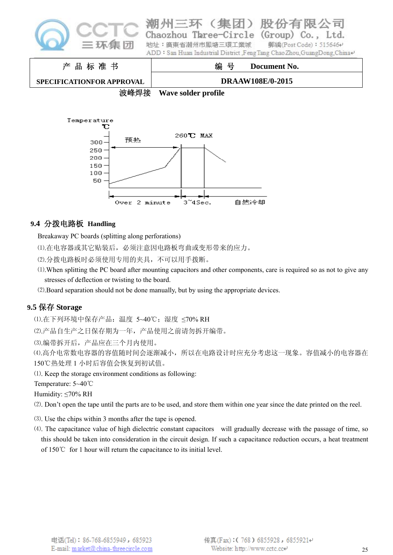

Three-Circle  $(Group)$ Co. 地址: 廣東省潮州市風塘三環工業城 **郵編(Post Code): 515646₽** ADD: San Huan Industrial District Feng Tang Chao Zhou, GuangDong, China+

产 品 标 准 书 **SPECIFICATIONFOR APPROVAL** 编 号 **Document No. DRAAW108E/0-2015**

波峰焊接 **Wave solder profile** 



## **9.4** 分拨电路板 **Handling**

Breakaway PC boards (splitting along perforations)

⑴.在电容器或其它贴装后,必须注意因电路板弯曲或变形带来的应力。

⑵.分拨电路板时必须使用专用的夹具,不可以用手拨断。

- ⑴.When splitting the PC board after mounting capacitors and other components, care is required so as not to give any stresses of deflection or twisting to the board.
- ⑵.Board separation should not be done manually, but by using the appropriate devices.

# **9.5** 保存 **Storage**

⑴.在下列环境中保存产品:温度 5~40℃;湿度 ≤70% RH

⑵.产品自生产之日保存期为一年,产品使用之前请勿拆开编带。

⑶.编带拆开后,产品应在三个月内使用。

⑷.高介电常数电容器的容值随时间会逐渐减小,所以在电路设计时应充分考虑这一现象。容值减小的电容器在 150℃热处理 1 小时后容值会恢复到初试值。

⑴. Keep the storage environment conditions as following:

Temperature: 5~40℃

Humidity: ≤70% RH

- ⑵. Don't open the tape until the parts are to be used, and store them within one year since the date printed on the reel.
- ⑶. Use the chips within 3 months after the tape is opened.
- ⑷. The capacitance value of high dielectric constant capacitors will gradually decrease with the passage of time, so this should be taken into consideration in the circuit design. If such a capacitance reduction occurs, a heat treatment of 150℃ for 1 hour will return the capacitance to its initial level.